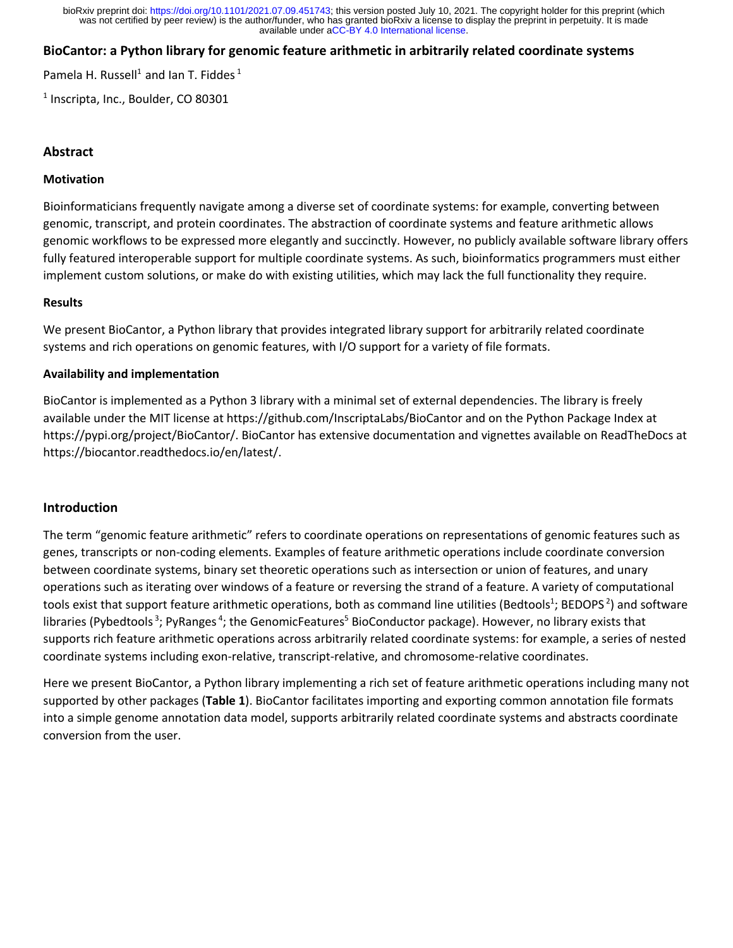available under [aCC-BY 4.0 International license.](http://creativecommons.org/licenses/by/4.0/) was not certified by peer review) is the author/funder, who has granted bioRxiv a license to display the preprint in perpetuity. It is made bioRxiv preprint doi: [https://doi.org/10.1101/2021.07.09.451743;](https://doi.org/10.1101/2021.07.09.451743) this version posted July 10, 2021. The copyright holder for this preprint (which

# **BioCantor: a Python library for genomic feature arithmetic in arbitrarily related coordinate systems**

Pamela H. Russell<sup>1</sup> and Ian T. Fiddes<sup>1</sup>

<sup>1</sup> Inscripta, Inc., Boulder, CO 80301

# **Abstract**

### **Motivation**

Bioinformaticians frequently navigate among a diverse set of coordinate systems: for example, converting between genomic, transcript, and protein coordinates. The abstraction of coordinate systems and feature arithmetic allows genomic workflows to be expressed more elegantly and succinctly. However, no publicly available software library offers fully featured interoperable support for multiple coordinate systems. As such, bioinformatics programmers must either implement custom solutions, or make do with existing utilities, which may lack the full functionality they require.

### **Results**

We present BioCantor, a Python library that provides integrated library support for arbitrarily related coordinate systems and rich operations on genomic features, with I/O support for a variety of file formats.

# **Availability and implementation**

BioCantor is implemented as a Python 3 library with a minimal set of external dependencies. The library is freely available under the MIT license at https://github.com/InscriptaLabs/BioCantor and on the Python Package Index at https://pypi.org/project/BioCantor/. BioCantor has extensive documentation and vignettes available on ReadTheDocs at https://biocantor.readthedocs.io/en/latest/.

# **Introduction**

The term "genomic feature arithmetic" refers to coordinate operations on representations of genomic features such as genes, transcripts or non-coding elements. Examples of feature arithmetic operations include coordinate conversion between coordinate systems, binary set theoretic operations such as intersection or union of features, and unary operations such as iterating over windows of a feature or reversing the strand of a feature. A variety of computational tools exist that support feature arithmetic operations, both as command line utilities (Bedtools<sup>1</sup>; BEDOPS<sup>2</sup>) and software libraries (Pybedtools<sup>3</sup>; PyRanges<sup>4</sup>; the GenomicFeatures<sup>5</sup> BioConductor package). However, no library exists that supports rich feature arithmetic operations across arbitrarily related coordinate systems: for example, a series of nested coordinate systems including exon-relative, transcript-relative, and chromosome-relative coordinates.

Here we present BioCantor, a Python library implementing a rich set of feature arithmetic operations including many not supported by other packages (**Table 1**). BioCantor facilitates importing and exporting common annotation file formats into a simple genome annotation data model, supports arbitrarily related coordinate systems and abstracts coordinate conversion from the user.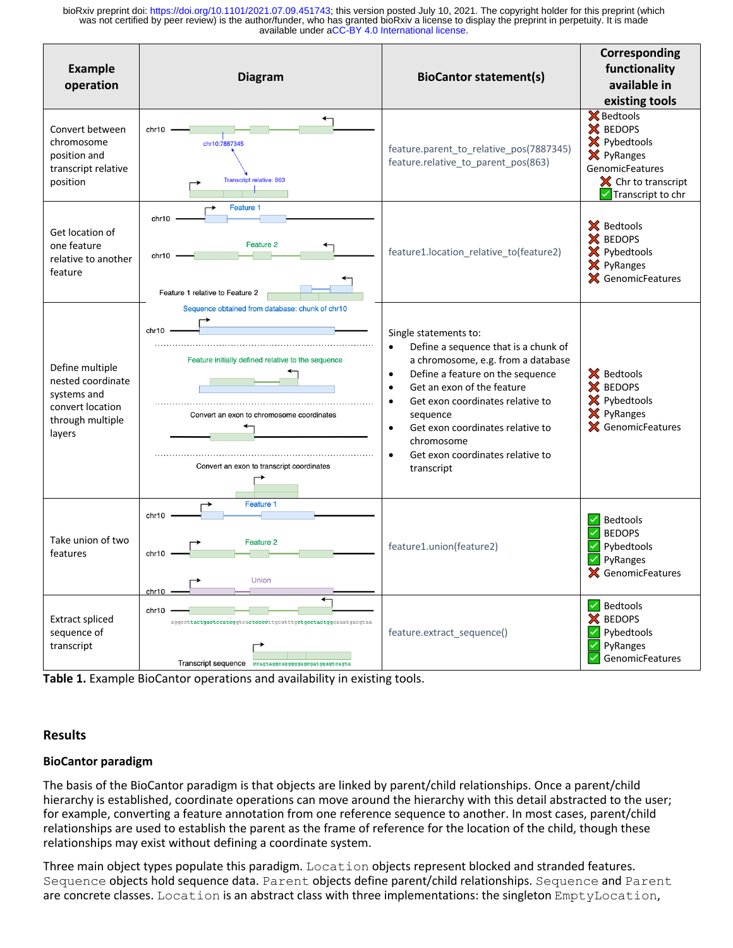available under [aCC-BY 4.0 International license.](http://creativecommons.org/licenses/by/4.0/) was not certified by peer review) is the author/funder, who has granted bioRxiv a license to display the preprint in perpetuity. It is made bioRxiv preprint doi: [https://doi.org/10.1101/2021.07.09.451743;](https://doi.org/10.1101/2021.07.09.451743) this version posted July 10, 2021. The copyright holder for this preprint (which

| <b>Example</b><br>operation                                                                           | <b>Diagram</b>                                                                                                                                                                                           | <b>BioCantor statement(s)</b>                                                                                                                                                                                                                                                                                                                                                                           | Corresponding<br>functionality<br>available in<br>existing tools                                                                           |
|-------------------------------------------------------------------------------------------------------|----------------------------------------------------------------------------------------------------------------------------------------------------------------------------------------------------------|---------------------------------------------------------------------------------------------------------------------------------------------------------------------------------------------------------------------------------------------------------------------------------------------------------------------------------------------------------------------------------------------------------|--------------------------------------------------------------------------------------------------------------------------------------------|
| Convert between<br>chromosome<br>position and<br>transcript relative<br>position                      | chr10<br>chr10:7887345<br><b>Transcript relative: 863</b>                                                                                                                                                | feature.parent_to_relative_pos(7887345)<br>feature.relative_to_parent_pos(863)                                                                                                                                                                                                                                                                                                                          | <b>X</b> Bedtools<br>X BEDOPS<br>X Pybedtools<br>X PyRanges<br>GenomicFeatures<br>$\mathsf{\times}$ Chr to transcript<br>Transcript to chr |
| Get location of<br>one feature<br>relative to another<br>feature                                      | Feature 1<br>chr10<br>Feature 2<br>chr10<br>Feature 1 relative to Feature 2                                                                                                                              | feature1.location_relative_to(feature2)                                                                                                                                                                                                                                                                                                                                                                 | X Bedtools<br>X BEDOPS<br>X Pybedtools<br>X PyRanges<br>X GenomicFeatures                                                                  |
| Define multiple<br>nested coordinate<br>systems and<br>convert location<br>through multiple<br>layers | Sequence obtained from database: chunk of chr10<br>chr10<br>Feature initially defined relative to the sequence<br>Convert an exon to chromosome coordinates<br>Convert an exon to transcript coordinates | Single statements to:<br>Define a sequence that is a chunk of<br>$\bullet$<br>a chromosome, e.g. from a database<br>Define a feature on the sequence<br>$\bullet$<br>Get an exon of the feature<br>$\bullet$<br>Get exon coordinates relative to<br>$\bullet$<br>sequence<br>Get exon coordinates relative to<br>$\bullet$<br>chromosome<br>Get exon coordinates relative to<br>$\bullet$<br>transcript | X Bedtools<br>X BEDOPS<br>X Pybedtools<br>X PyRanges<br>X GenomicFeatures                                                                  |
| Take union of two<br>features                                                                         | Feature 1<br>chr10<br>Feature 2<br>chr10<br>$chr10 -$                                                                                                                                                    | feature1.union(feature2)                                                                                                                                                                                                                                                                                                                                                                                | <b>Bedtools</b><br><b>BEDOPS</b><br>Pybedtools<br>PyRanges<br>X GenomicFeatures                                                            |
| <b>Extract spliced</b><br>sequence of<br>transcript                                                   | ←<br>chr10<br>aggccttactgactccatcggtcactccccttgcatttgctgcctactggcaaatgacgtaa<br>Transcript sequence ccagtaggcagggggagcgatggagtcagta                                                                      | feature.extract_sequence()                                                                                                                                                                                                                                                                                                                                                                              | $\vee$ Bedtools<br><b>BEDOPS</b><br>X<br>Pybedtools<br>PyRanges<br>GenomicFeatures                                                         |

**Table 1.** Example BioCantor operations and availability in existing tools.

# **Results**

# **BioCantor paradigm**

The basis of the BioCantor paradigm is that objects are linked by parent/child relationships. Once a parent/child hierarchy is established, coordinate operations can move around the hierarchy with this detail abstracted to the user; for example, converting a feature annotation from one reference sequence to another. In most cases, parent/child relationships are used to establish the parent as the frame of reference for the location of the child, though these relationships may exist without defining a coordinate system.

Three main object types populate this paradigm. Location objects represent blocked and stranded features. Sequence objects hold sequence data. Parent objects define parent/child relationships. Sequence and Parent are concrete classes. Location is an abstract class with three implementations: the singleton EmptyLocation,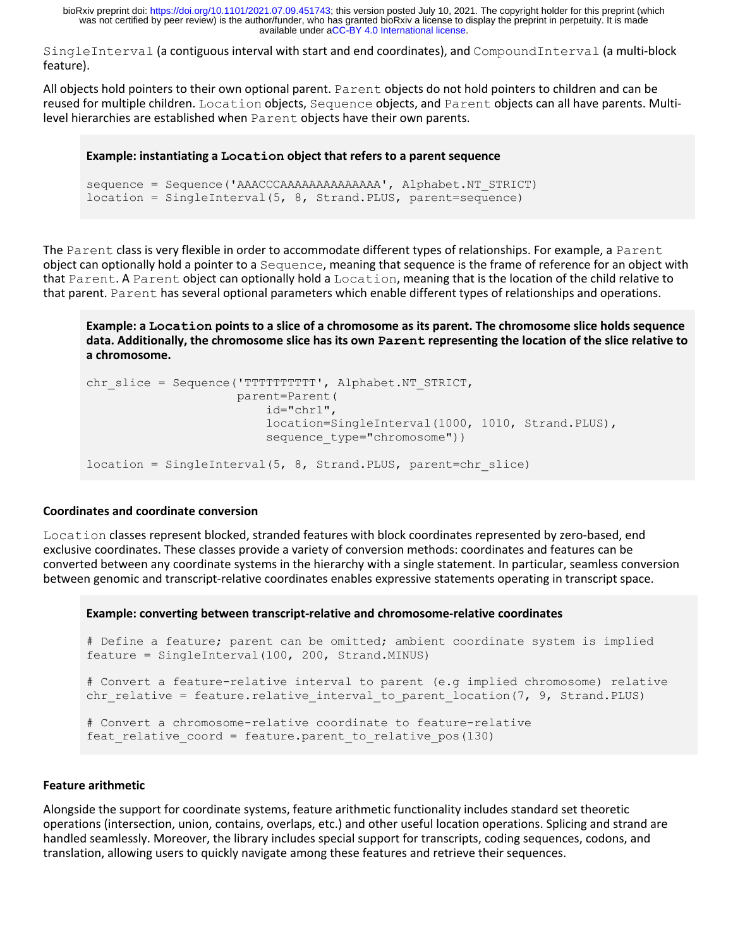available under [aCC-BY 4.0 International license.](http://creativecommons.org/licenses/by/4.0/) was not certified by peer review) is the author/funder, who has granted bioRxiv a license to display the preprint in perpetuity. It is made bioRxiv preprint doi: [https://doi.org/10.1101/2021.07.09.451743;](https://doi.org/10.1101/2021.07.09.451743) this version posted July 10, 2021. The copyright holder for this preprint (which

SingleInterval (a contiguous interval with start and end coordinates), and CompoundInterval (a multi-block feature).

All objects hold pointers to their own optional parent. Parent objects do not hold pointers to children and can be reused for multiple children. Location objects, Sequence objects, and Parent objects can all have parents. Multilevel hierarchies are established when Parent objects have their own parents.

### **Example: instantiating a Location object that refers to a parent sequence**

```
sequence = Sequence('AAACCCAAAAAAAAAAAAAA', Alphabet.NT_STRICT)
location = SingleInterval(5, 8, Strand.PLUS, parent=sequence)
```
The Parent class is very flexible in order to accommodate different types of relationships. For example, a Parent object can optionally hold a pointer to a Sequence, meaning that sequence is the frame of reference for an object with that Parent. A Parent object can optionally hold a Location, meaning that is the location of the child relative to that parent. Parent has several optional parameters which enable different types of relationships and operations.

**Example: a Location points to a slice of a chromosome as its parent. The chromosome slice holds sequence data. Additionally, the chromosome slice has its own Parent representing the location of the slice relative to a chromosome.**

```
chr slice = Sequence('TTTTTTTTTT', Alphabet.NT STRICT,
                      parent=Parent(
                          id="chr1",
                          location=SingleInterval(1000, 1010, Strand.PLUS),
                         sequence type="chromosome"))
location = SingleInterval(5, 8, Strand.PLUS, parent=chr slice)
```
### **Coordinates and coordinate conversion**

Location classes represent blocked, stranded features with block coordinates represented by zero-based, end exclusive coordinates. These classes provide a variety of conversion methods: coordinates and features can be converted between any coordinate systems in the hierarchy with a single statement. In particular, seamless conversion between genomic and transcript-relative coordinates enables expressive statements operating in transcript space.

#### **Example: converting between transcript-relative and chromosome-relative coordinates**

```
# Define a feature; parent can be omitted; ambient coordinate system is implied
feature = SingleInterval(100, 200, Strand.MINUS)
# Convert a feature-relative interval to parent (e.g implied chromosome) relative
chr relative = feature.relative interval to parent location(7, 9, Strand.PLUS)
# Convert a chromosome-relative coordinate to feature-relative
feat relative coord = feature.parent to relative pos(130)
```
### **Feature arithmetic**

Alongside the support for coordinate systems, feature arithmetic functionality includes standard set theoretic operations (intersection, union, contains, overlaps, etc.) and other useful location operations. Splicing and strand are handled seamlessly. Moreover, the library includes special support for transcripts, coding sequences, codons, and translation, allowing users to quickly navigate among these features and retrieve their sequences.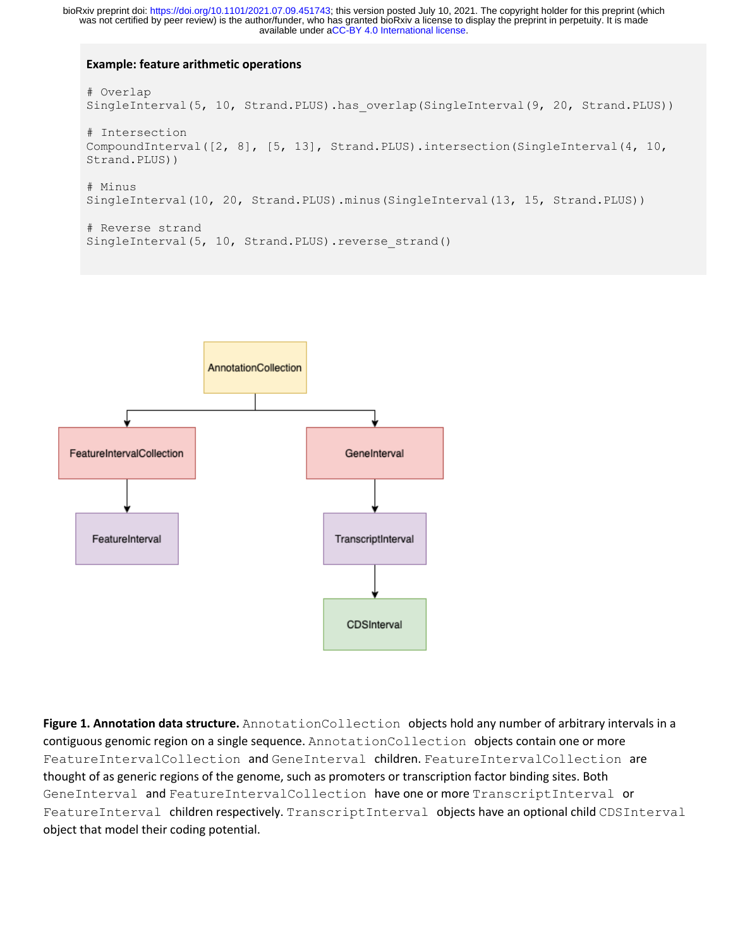available under [aCC-BY 4.0 International license.](http://creativecommons.org/licenses/by/4.0/) was not certified by peer review) is the author/funder, who has granted bioRxiv a license to display the preprint in perpetuity. It is made bioRxiv preprint doi: [https://doi.org/10.1101/2021.07.09.451743;](https://doi.org/10.1101/2021.07.09.451743) this version posted July 10, 2021. The copyright holder for this preprint (which

### **Example: feature arithmetic operations**

```
# Overlap
SingleInterval(5, 10, Strand.PLUS).has overlap(SingleInterval(9, 20, Strand.PLUS))
# Intersection
CompoundInterval([2, 8], [5, 13], Strand.PLUS).intersection(SingleInterval(4, 10,
Strand.PLUS))
# Minus
SingleInterval(10, 20, Strand.PLUS).minus(SingleInterval(13, 15, Strand.PLUS))
# Reverse strand
SingleInterval(5, 10, Strand.PLUS).reverse strand()
```


**Figure 1. Annotation data structure.** AnnotationCollection objects hold any number of arbitrary intervals in a contiguous genomic region on a single sequence. AnnotationCollection objects contain one or more FeatureIntervalCollection and GeneInterval children. FeatureIntervalCollection are thought of as generic regions of the genome, such as promoters or transcription factor binding sites. Both GeneInterval and FeatureIntervalCollection have one or more TranscriptInterval or FeatureInterval children respectively. TranscriptInterval objects have an optional child CDSInterval object that model their coding potential.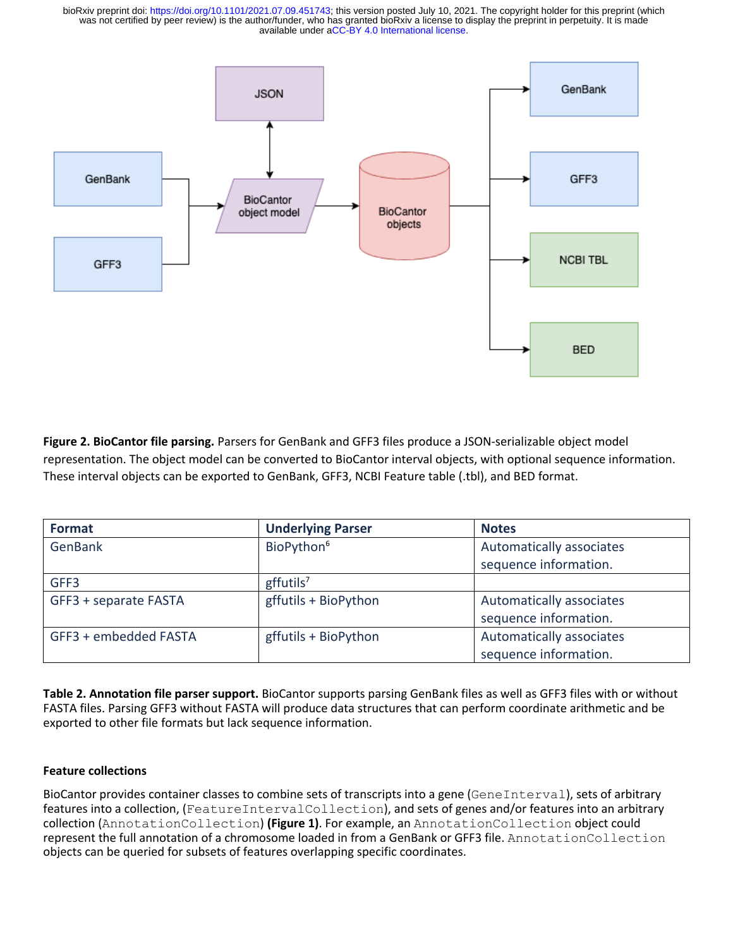available under [aCC-BY 4.0 International license.](http://creativecommons.org/licenses/by/4.0/) was not certified by peer review) is the author/funder, who has granted bioRxiv a license to display the preprint in perpetuity. It is made bioRxiv preprint doi: [https://doi.org/10.1101/2021.07.09.451743;](https://doi.org/10.1101/2021.07.09.451743) this version posted July 10, 2021. The copyright holder for this preprint (which



**Figure 2. BioCantor file parsing.** Parsers for GenBank and GFF3 files produce a JSON-serializable object model representation. The object model can be converted to BioCantor interval objects, with optional sequence information. These interval objects can be exported to GenBank, GFF3, NCBI Feature table (.tbl), and BED format.

| <b>Format</b>         | <b>Underlying Parser</b> | <b>Notes</b>             |
|-----------------------|--------------------------|--------------------------|
| GenBank               | BioPython <sup>6</sup>   | Automatically associates |
|                       |                          | sequence information.    |
| GFF3                  | gffutils <sup>7</sup>    |                          |
| GFF3 + separate FASTA | gffutils + BioPython     | Automatically associates |
|                       |                          | sequence information.    |
| GFF3 + embedded FASTA | gffutils + BioPython     | Automatically associates |
|                       |                          | sequence information.    |

**Table 2. Annotation file parser support.** BioCantor supports parsing GenBank files as well as GFF3 files with or without FASTA files. Parsing GFF3 without FASTA will produce data structures that can perform coordinate arithmetic and be exported to other file formats but lack sequence information.

# **Feature collections**

BioCantor provides container classes to combine sets of transcripts into a gene (GeneInterval), sets of arbitrary features into a collection, (FeatureIntervalCollection), and sets of genes and/or features into an arbitrary collection (AnnotationCollection) **(Figure 1)**. For example, an AnnotationCollection object could represent the full annotation of a chromosome loaded in from a GenBank or GFF3 file. AnnotationCollection objects can be queried for subsets of features overlapping specific coordinates.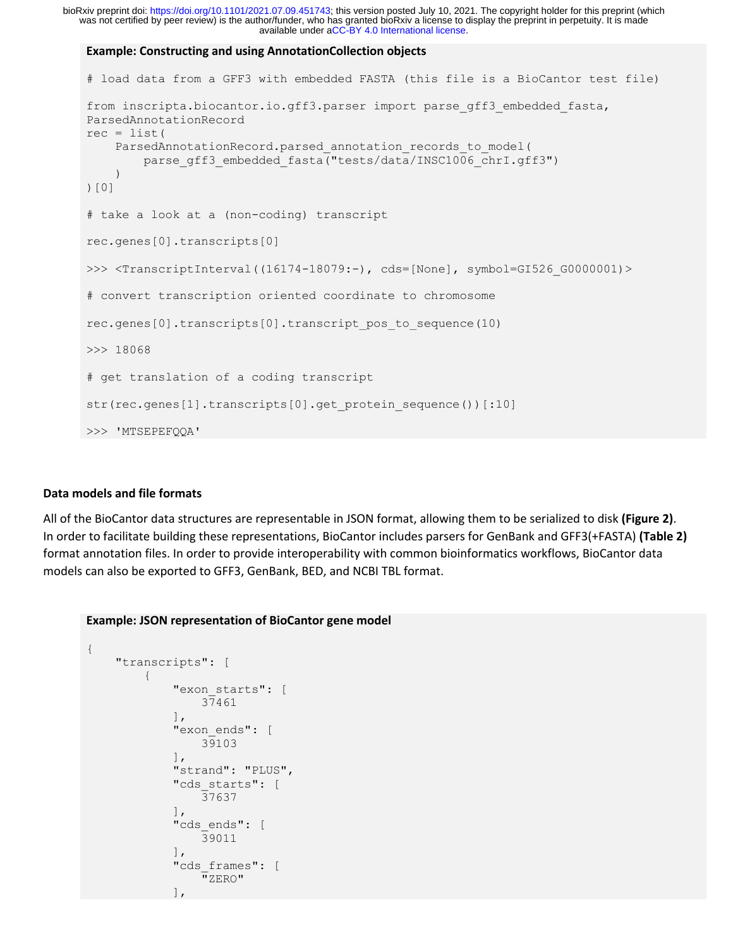available under [aCC-BY 4.0 International license.](http://creativecommons.org/licenses/by/4.0/) was not certified by peer review) is the author/funder, who has granted bioRxiv a license to display the preprint in perpetuity. It is made bioRxiv preprint doi: [https://doi.org/10.1101/2021.07.09.451743;](https://doi.org/10.1101/2021.07.09.451743) this version posted July 10, 2021. The copyright holder for this preprint (which

#### **Example: Constructing and using AnnotationCollection objects**

```
# load data from a GFF3 with embedded FASTA (this file is a BioCantor test file)
from inscripta.biocantor.io.gff3.parser import parse gff3 embedded fasta,
ParsedAnnotationRecord
rec = list( ParsedAnnotationRecord.parsed_annotation_records_to_model(
        parse qff3 embedded fasta("tests/data/INSC1006 chrI.qff3")
     )
)[0]
# take a look at a (non-coding) transcript
rec.genes[0].transcripts[0]
>>> <TranscriptInterval((16174-18079:-), cds=[None], symbol=GI526 G0000001)>
# convert transcription oriented coordinate to chromosome
rec.genes[0].transcripts[0].transcript_pos_to_sequence(10)
>>> 18068
# get translation of a coding transcript
str(rec.genes[1].transcripts[0].get_protein_sequence())[:10]
>>> 'MTSEPEFQQA'
```
### **Data models and file formats**

All of the BioCantor data structures are representable in JSON format, allowing them to be serialized to disk **(Figure 2)**. In order to facilitate building these representations, BioCantor includes parsers for GenBank and GFF3(+FASTA) **(Table 2)**  format annotation files. In order to provide interoperability with common bioinformatics workflows, BioCantor data models can also be exported to GFF3, GenBank, BED, and NCBI TBL format.

#### **Example: JSON representation of BioCantor gene model**

```
{
      "transcripts": [
            {
                 "exon starts": [
                       37461
                \cdot"exon ends": [
                       39103
                 ],
                  "strand": "PLUS",
                  "cds_starts": [
                       37637
                 \frac{1}{\sqrt{2}}"cds ends": [
                       39011
                 \frac{1}{\sqrt{2}}"cds frames": [
                       "ZERO"
                 \frac{1}{2},
```